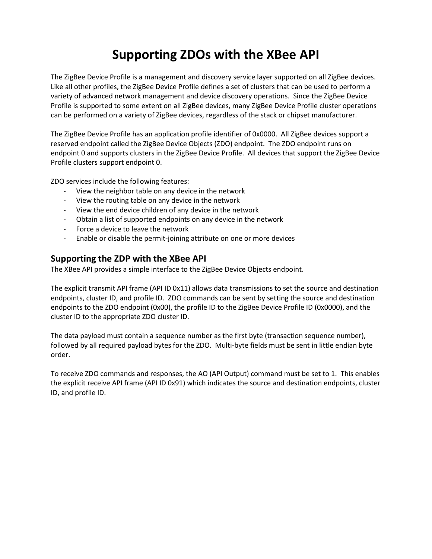# **Supporting ZDOs with the XBee API**

The ZigBee Device Profile is a management and discovery service layer supported on all ZigBee devices. Like all other profiles, the ZigBee Device Profile defines a set of clusters that can be used to perform a variety of advanced network management and device discovery operations. Since the ZigBee Device Profile is supported to some extent on all ZigBee devices, many ZigBee Device Profile cluster operations can be performed on a variety of ZigBee devices, regardless of the stack or chipset manufacturer.

The ZigBee Device Profile has an application profile identifier of 0x0000. All ZigBee devices support a reserved endpoint called the ZigBee Device Objects (ZDO) endpoint. The ZDO endpoint runs on endpoint 0 and supports clusters in the ZigBee Device Profile. All devices that support the ZigBee Device Profile clusters support endpoint 0.

ZDO services include the following features:

- View the neighbor table on any device in the network
- View the routing table on any device in the network
- View the end device children of any device in the network
- Obtain a list of supported endpoints on any device in the network
- Force a device to leave the network
- Enable or disable the permit-joining attribute on one or more devices

### **Supporting the ZDP with the XBee API**

The XBee API provides a simple interface to the ZigBee Device Objects endpoint.

The explicit transmit API frame (API ID 0x11) allows data transmissions to set the source and destination endpoints, cluster ID, and profile ID. ZDO commands can be sent by setting the source and destination endpoints to the ZDO endpoint (0x00), the profile ID to the ZigBee Device Profile ID (0x0000), and the cluster ID to the appropriate ZDO cluster ID.

The data payload must contain a sequence number as the first byte (transaction sequence number), followed by all required payload bytes for the ZDO. Multi-byte fields must be sent in little endian byte order.

To receive ZDO commands and responses, the AO (API Output) command must be set to 1. This enables the explicit receive API frame (API ID 0x91) which indicates the source and destination endpoints, cluster ID, and profile ID.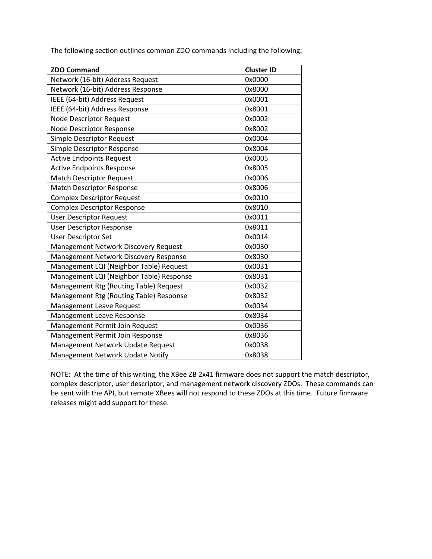The following section outlines common ZDO commands including the following:

| <b>ZDO Command</b>                       | <b>Cluster ID</b> |
|------------------------------------------|-------------------|
| Network (16-bit) Address Request         | 0x0000            |
| Network (16-bit) Address Response        | 0x8000            |
| IEEE (64-bit) Address Request            | 0x0001            |
| IEEE (64-bit) Address Response           | 0x8001            |
| <b>Node Descriptor Request</b>           | 0x0002            |
| Node Descriptor Response                 | 0x8002            |
| <b>Simple Descriptor Request</b>         | 0x0004            |
| Simple Descriptor Response               | 0x8004            |
| <b>Active Endpoints Request</b>          | 0x0005            |
| <b>Active Endpoints Response</b>         | 0x8005            |
| <b>Match Descriptor Request</b>          | 0x0006            |
| <b>Match Descriptor Response</b>         | 0x8006            |
| <b>Complex Descriptor Request</b>        | 0x0010            |
| <b>Complex Descriptor Response</b>       | 0x8010            |
| <b>User Descriptor Request</b>           | 0x0011            |
| <b>User Descriptor Response</b>          | 0x8011            |
| <b>User Descriptor Set</b>               | 0x0014            |
| Management Network Discovery Request     | 0x0030            |
| Management Network Discovery Response    | 0x8030            |
| Management LQI (Neighbor Table) Request  | 0x0031            |
| Management LQI (Neighbor Table) Response | 0x8031            |
| Management Rtg (Routing Table) Request   | 0x0032            |
| Management Rtg (Routing Table) Response  | 0x8032            |
| Management Leave Request                 | 0x0034            |
| Management Leave Response                | 0x8034            |
| Management Permit Join Request           | 0x0036            |
| Management Permit Join Response          | 0x8036            |
| Management Network Update Request        | 0x0038            |
| Management Network Update Notify         | 0x8038            |

NOTE: At the time of this writing, the XBee ZB 2x41 firmware does not support the match descriptor, complex descriptor, user descriptor, and management network discovery ZDOs. These commands can be sent with the API, but remote XBees will not respond to these ZDOs at this time. Future firmware releases might add support for these.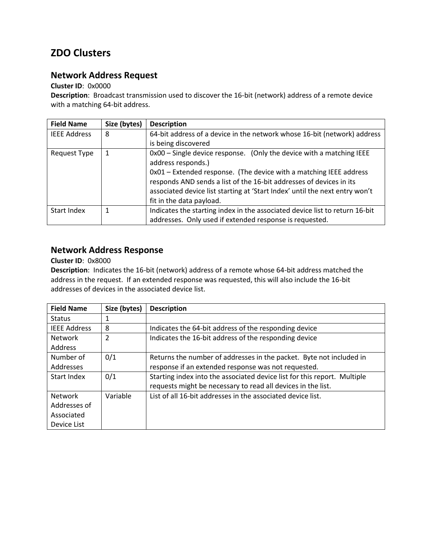## **ZDO Clusters**

## **Network Address Request**

### **Cluster ID**: 0x0000

**Description**: Broadcast transmission used to discover the 16-bit (network) address of a remote device with a matching 64-bit address.

| <b>Field Name</b>   | Size (bytes) | <b>Description</b>                                                                                                                                                                                                                                                                                                                                 |
|---------------------|--------------|----------------------------------------------------------------------------------------------------------------------------------------------------------------------------------------------------------------------------------------------------------------------------------------------------------------------------------------------------|
| <b>IEEE Address</b> | 8            | 64-bit address of a device in the network whose 16-bit (network) address                                                                                                                                                                                                                                                                           |
|                     |              | is being discovered                                                                                                                                                                                                                                                                                                                                |
| Request Type        | 1            | 0x00 - Single device response. (Only the device with a matching IEEE<br>address responds.)<br>0x01 - Extended response. (The device with a matching IEEE address<br>responds AND sends a list of the 16-bit addresses of devices in its<br>associated device list starting at 'Start Index' until the next entry won't<br>fit in the data payload. |
| Start Index         |              | Indicates the starting index in the associated device list to return 16-bit<br>addresses. Only used if extended response is requested.                                                                                                                                                                                                             |

## **Network Address Response**

### **Cluster ID**: 0x8000

**Description**: Indicates the 16-bit (network) address of a remote whose 64-bit address matched the address in the request. If an extended response was requested, this will also include the 16-bit addresses of devices in the associated device list.

| <b>Field Name</b>   | Size (bytes) | <b>Description</b>                                                       |
|---------------------|--------------|--------------------------------------------------------------------------|
| <b>Status</b>       |              |                                                                          |
| <b>IEEE Address</b> | 8            | Indicates the 64-bit address of the responding device                    |
| <b>Network</b>      | 2            | Indicates the 16-bit address of the responding device                    |
| Address             |              |                                                                          |
| Number of           | 0/1          | Returns the number of addresses in the packet. Byte not included in      |
| Addresses           |              | response if an extended response was not requested.                      |
| Start Index         | 0/1          | Starting index into the associated device list for this report. Multiple |
|                     |              | requests might be necessary to read all devices in the list.             |
| <b>Network</b>      | Variable     | List of all 16-bit addresses in the associated device list.              |
| Addresses of        |              |                                                                          |
| Associated          |              |                                                                          |
| Device List         |              |                                                                          |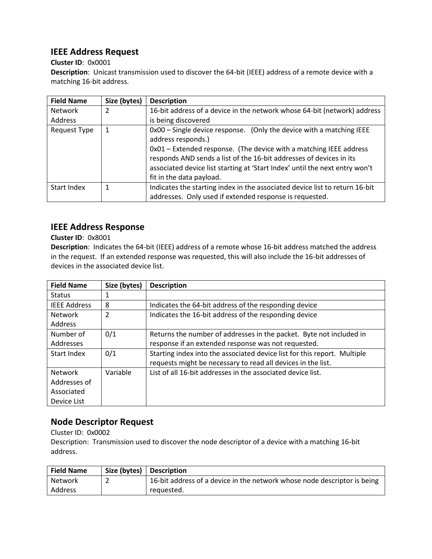## **IEEE Address Request**

### **Cluster ID**: 0x0001

**Description**: Unicast transmission used to discover the 64-bit (IEEE) address of a remote device with a matching 16-bit address.

| <b>Field Name</b> | Size (bytes) | <b>Description</b>                                                                                                                                                                                                                                                                                                                                 |
|-------------------|--------------|----------------------------------------------------------------------------------------------------------------------------------------------------------------------------------------------------------------------------------------------------------------------------------------------------------------------------------------------------|
| Network           | 2            | 16-bit address of a device in the network whose 64-bit (network) address                                                                                                                                                                                                                                                                           |
| Address           |              | is being discovered                                                                                                                                                                                                                                                                                                                                |
| Request Type      | 1            | 0x00 - Single device response. (Only the device with a matching IEEE<br>address responds.)<br>0x01 - Extended response. (The device with a matching IEEE address<br>responds AND sends a list of the 16-bit addresses of devices in its<br>associated device list starting at 'Start Index' until the next entry won't<br>fit in the data payload. |
| Start Index       |              | Indicates the starting index in the associated device list to return 16-bit                                                                                                                                                                                                                                                                        |
|                   |              | addresses. Only used if extended response is requested.                                                                                                                                                                                                                                                                                            |

## **IEEE Address Response**

### **Cluster ID**: 0x8001

**Description**: Indicates the 64-bit (IEEE) address of a remote whose 16-bit address matched the address in the request. If an extended response was requested, this will also include the 16-bit addresses of devices in the associated device list.

| <b>Field Name</b>   | Size (bytes) | <b>Description</b>                                                       |
|---------------------|--------------|--------------------------------------------------------------------------|
| <b>Status</b>       | 1            |                                                                          |
| <b>IEEE Address</b> | 8            | Indicates the 64-bit address of the responding device                    |
| <b>Network</b>      | 2            | Indicates the 16-bit address of the responding device                    |
| <b>Address</b>      |              |                                                                          |
| Number of           | 0/1          | Returns the number of addresses in the packet. Byte not included in      |
| Addresses           |              | response if an extended response was not requested.                      |
| Start Index         | 0/1          | Starting index into the associated device list for this report. Multiple |
|                     |              | requests might be necessary to read all devices in the list.             |
| <b>Network</b>      | Variable     | List of all 16-bit addresses in the associated device list.              |
| Addresses of        |              |                                                                          |
| Associated          |              |                                                                          |
| Device List         |              |                                                                          |

## **Node Descriptor Request**

Cluster ID: 0x0002

Description: Transmission used to discover the node descriptor of a device with a matching 16-bit address.

| <b>Field Name</b> | Size (bytes) | <b>Description</b>                                                       |
|-------------------|--------------|--------------------------------------------------------------------------|
| <b>Network</b>    |              | 16-bit address of a device in the network whose node descriptor is being |
| Address           |              | reguested.                                                               |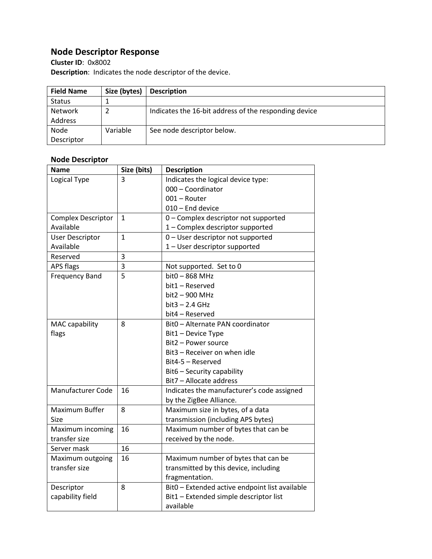## **Node Descriptor Response**

**Cluster ID**: 0x8002 **Description**: Indicates the node descriptor of the device.

| <b>Field Name</b> | Size (bytes) | <b>Description</b>                                    |
|-------------------|--------------|-------------------------------------------------------|
| <b>Status</b>     |              |                                                       |
| Network           |              | Indicates the 16-bit address of the responding device |
| Address           |              |                                                       |
| Node              | Variable     | See node descriptor below.                            |
| Descriptor        |              |                                                       |

### **Node Descriptor**

| <b>Name</b>               | Size (bits)    | <b>Description</b>                             |
|---------------------------|----------------|------------------------------------------------|
| Logical Type              | 3              | Indicates the logical device type:             |
|                           |                | 000 - Coordinator                              |
|                           |                | 001 - Router                                   |
|                           |                | 010 - End device                               |
| <b>Complex Descriptor</b> | $\mathbf{1}$   | 0 - Complex descriptor not supported           |
| Available                 |                | 1 - Complex descriptor supported               |
| <b>User Descriptor</b>    | $\overline{1}$ | 0 - User descriptor not supported              |
| Available                 |                | 1 - User descriptor supported                  |
| Reserved                  | 3              |                                                |
| <b>APS flags</b>          | 3              | Not supported. Set to 0                        |
| <b>Frequency Band</b>     | 5              | bit0 - 868 MHz                                 |
|                           |                | bit1 - Reserved                                |
|                           |                | bit2 - 900 MHz                                 |
|                           |                | $bit3 - 2.4 GHz$                               |
|                           |                | bit4 – Reserved                                |
| <b>MAC capability</b>     | 8              | Bit0 - Alternate PAN coordinator               |
| flags                     |                | Bit1 - Device Type                             |
|                           |                | Bit2 - Power source                            |
|                           |                | Bit3 - Receiver on when idle                   |
|                           |                | Bit4-5 - Reserved                              |
|                           |                | Bit6 - Security capability                     |
|                           |                | Bit7 - Allocate address                        |
| Manufacturer Code         | 16             | Indicates the manufacturer's code assigned     |
|                           |                | by the ZigBee Alliance.                        |
| Maximum Buffer            | 8              | Maximum size in bytes, of a data               |
| Size                      |                | transmission (including APS bytes)             |
| Maximum incoming          | 16             | Maximum number of bytes that can be            |
| transfer size             |                | received by the node.                          |
| Server mask               | 16             |                                                |
| Maximum outgoing          | 16             | Maximum number of bytes that can be            |
| transfer size             |                | transmitted by this device, including          |
|                           |                | fragmentation.                                 |
| Descriptor                | 8              | Bit0 - Extended active endpoint list available |
| capability field          |                | Bit1 - Extended simple descriptor list         |
|                           |                | available                                      |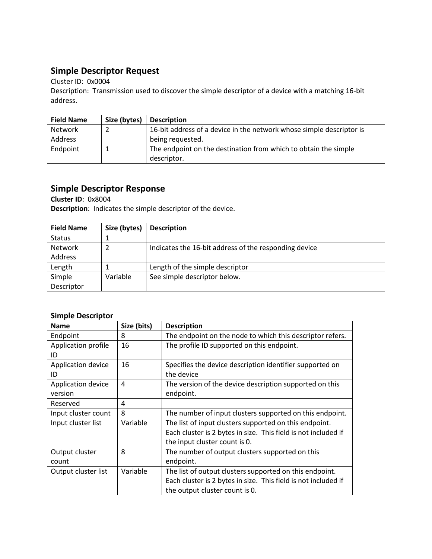## **Simple Descriptor Request**

Cluster ID: 0x0004

Description: Transmission used to discover the simple descriptor of a device with a matching 16-bit address.

| <b>Field Name</b> | Size (bytes) | <b>Description</b>                                                   |
|-------------------|--------------|----------------------------------------------------------------------|
| Network           |              | 16-bit address of a device in the network whose simple descriptor is |
| Address           |              | being requested.                                                     |
| Endpoint          |              | The endpoint on the destination from which to obtain the simple      |
|                   |              | descriptor.                                                          |

## **Simple Descriptor Response**

**Cluster ID**: 0x8004 **Description**: Indicates the simple descriptor of the device.

| <b>Field Name</b> | Size (bytes) | <b>Description</b>                                    |
|-------------------|--------------|-------------------------------------------------------|
| <b>Status</b>     |              |                                                       |
| Network           |              | Indicates the 16-bit address of the responding device |
| Address           |              |                                                       |
| Length            |              | Length of the simple descriptor                       |
| Simple            | Variable     | See simple descriptor below.                          |
| Descriptor        |              |                                                       |

### **Simple Descriptor**

| <b>Name</b>         | Size (bits) | <b>Description</b>                                             |
|---------------------|-------------|----------------------------------------------------------------|
| Endpoint            | 8           | The endpoint on the node to which this descriptor refers.      |
| Application profile | 16          | The profile ID supported on this endpoint.                     |
| ID                  |             |                                                                |
| Application device  | 16          | Specifies the device description identifier supported on       |
| ID                  |             | the device                                                     |
| Application device  | 4           | The version of the device description supported on this        |
| version             |             | endpoint.                                                      |
| Reserved            | 4           |                                                                |
| Input cluster count | 8           | The number of input clusters supported on this endpoint.       |
| Input cluster list  | Variable    | The list of input clusters supported on this endpoint.         |
|                     |             | Each cluster is 2 bytes in size. This field is not included if |
|                     |             | the input cluster count is 0.                                  |
| Output cluster      | 8           | The number of output clusters supported on this                |
| count               |             | endpoint.                                                      |
| Output cluster list | Variable    | The list of output clusters supported on this endpoint.        |
|                     |             | Each cluster is 2 bytes in size. This field is not included if |
|                     |             | the output cluster count is 0.                                 |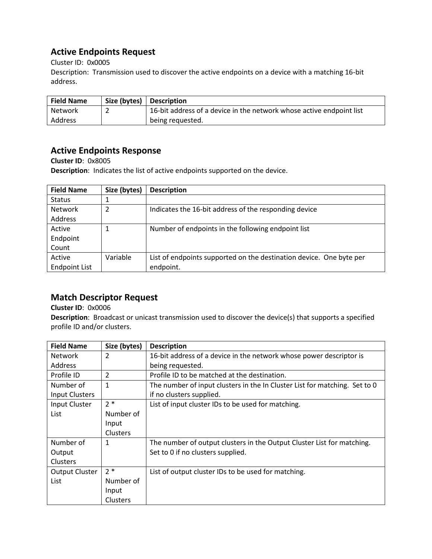## **Active Endpoints Request**

Cluster ID: 0x0005

Description: Transmission used to discover the active endpoints on a device with a matching 16-bit address.

| <b>Field Name</b> | Size (bytes)   Description                                           |
|-------------------|----------------------------------------------------------------------|
| Network           | 16-bit address of a device in the network whose active endpoint list |
| Address           | being requested.                                                     |

## **Active Endpoints Response**

**Cluster ID**: 0x8005

**Description**: Indicates the list of active endpoints supported on the device.

| <b>Field Name</b>    | Size (bytes) | <b>Description</b>                                                  |
|----------------------|--------------|---------------------------------------------------------------------|
| <b>Status</b>        |              |                                                                     |
| Network              |              | Indicates the 16-bit address of the responding device               |
| <b>Address</b>       |              |                                                                     |
| Active               |              | Number of endpoints in the following endpoint list                  |
| Endpoint             |              |                                                                     |
| Count                |              |                                                                     |
| Active               | Variable     | List of endpoints supported on the destination device. One byte per |
| <b>Endpoint List</b> |              | endpoint.                                                           |

## **Match Descriptor Request**

### **Cluster ID**: 0x0006

**Description**: Broadcast or unicast transmission used to discover the device(s) that supports a specified profile ID and/or clusters.

| <b>Field Name</b>     | Size (bytes)    | <b>Description</b>                                                         |
|-----------------------|-----------------|----------------------------------------------------------------------------|
| <b>Network</b>        | 2               | 16-bit address of a device in the network whose power descriptor is        |
| Address               |                 | being requested.                                                           |
| Profile ID            | 2               | Profile ID to be matched at the destination.                               |
| Number of             | 1               | The number of input clusters in the In Cluster List for matching. Set to 0 |
| <b>Input Clusters</b> |                 | if no clusters supplied.                                                   |
| Input Cluster         | $2*$            | List of input cluster IDs to be used for matching.                         |
| List                  | Number of       |                                                                            |
|                       | Input           |                                                                            |
|                       | Clusters        |                                                                            |
| Number of             | 1               | The number of output clusters in the Output Cluster List for matching.     |
| Output                |                 | Set to 0 if no clusters supplied.                                          |
| <b>Clusters</b>       |                 |                                                                            |
| <b>Output Cluster</b> | $2*$            | List of output cluster IDs to be used for matching.                        |
| List                  | Number of       |                                                                            |
|                       | Input           |                                                                            |
|                       | <b>Clusters</b> |                                                                            |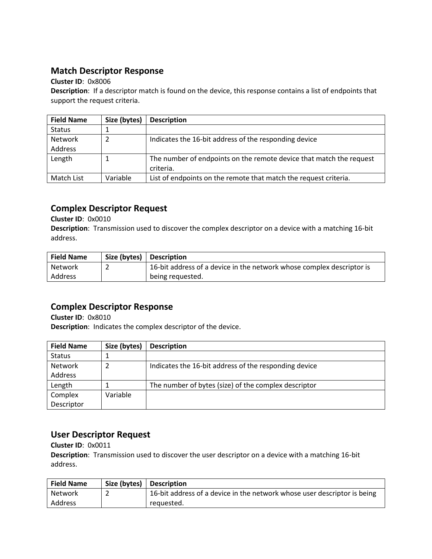### **Match Descriptor Response**

### **Cluster ID**: 0x8006

**Description**: If a descriptor match is found on the device, this response contains a list of endpoints that support the request criteria.

| <b>Field Name</b> | Size (bytes) | <b>Description</b>                                                  |
|-------------------|--------------|---------------------------------------------------------------------|
| <b>Status</b>     |              |                                                                     |
| Network           |              | Indicates the 16-bit address of the responding device               |
| Address           |              |                                                                     |
| Length            |              | The number of endpoints on the remote device that match the request |
|                   |              | criteria.                                                           |
| Match List        | Variable     | List of endpoints on the remote that match the request criteria.    |

### **Complex Descriptor Request**

**Cluster ID**: 0x0010

**Description**: Transmission used to discover the complex descriptor on a device with a matching 16-bit address.

| <b>Field Name</b> | Size (bytes) | <b>Description</b>                                                    |
|-------------------|--------------|-----------------------------------------------------------------------|
| Network           |              | 16-bit address of a device in the network whose complex descriptor is |
| Address           |              | being requested.                                                      |

## **Complex Descriptor Response**

**Cluster ID**: 0x8010 **Description**: Indicates the complex descriptor of the device.

| <b>Field Name</b> | Size (bytes) | <b>Description</b>                                    |
|-------------------|--------------|-------------------------------------------------------|
| <b>Status</b>     |              |                                                       |
| Network           |              | Indicates the 16-bit address of the responding device |
| Address           |              |                                                       |
| Length            |              | The number of bytes (size) of the complex descriptor  |
| Complex           | Variable     |                                                       |
| Descriptor        |              |                                                       |

## **User Descriptor Request**

**Cluster ID**: 0x0011

**Description**: Transmission used to discover the user descriptor on a device with a matching 16-bit address.

| <b>Field Name</b> | Size (bytes)   Description                                               |
|-------------------|--------------------------------------------------------------------------|
| l Network         | 16-bit address of a device in the network whose user descriptor is being |
| Address           | reguested.                                                               |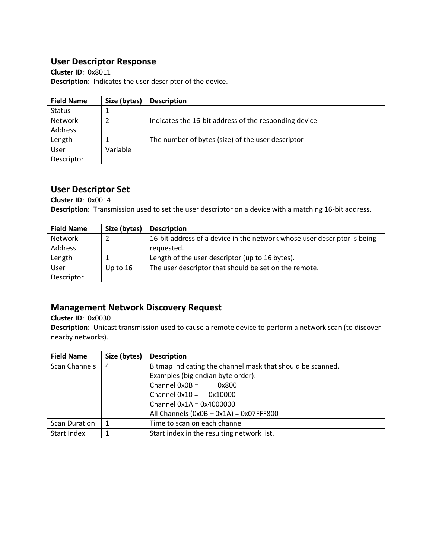## **User Descriptor Response**

**Cluster ID**: 0x8011 **Description**: Indicates the user descriptor of the device.

| <b>Field Name</b> | Size (bytes) | <b>Description</b>                                    |
|-------------------|--------------|-------------------------------------------------------|
| <b>Status</b>     |              |                                                       |
| Network           |              | Indicates the 16-bit address of the responding device |
| Address           |              |                                                       |
| Length            |              | The number of bytes (size) of the user descriptor     |
| User              | Variable     |                                                       |
| Descriptor        |              |                                                       |

## **User Descriptor Set**

**Cluster ID**: 0x0014 **Description**: Transmission used to set the user descriptor on a device with a matching 16-bit address.

| <b>Field Name</b> | Size (bytes) | <b>Description</b>                                                       |
|-------------------|--------------|--------------------------------------------------------------------------|
| <b>Network</b>    |              | 16-bit address of a device in the network whose user descriptor is being |
| Address           |              | requested.                                                               |
| Length            |              | Length of the user descriptor (up to 16 bytes).                          |
| User              | Up to $16$   | The user descriptor that should be set on the remote.                    |
| Descriptor        |              |                                                                          |

## **Management Network Discovery Request**

**Cluster ID**: 0x0030

**Description**: Unicast transmission used to cause a remote device to perform a network scan (to discover nearby networks).

| <b>Field Name</b>    | Size (bytes) | <b>Description</b>                                         |  |
|----------------------|--------------|------------------------------------------------------------|--|
| Scan Channels        | 4            | Bitmap indicating the channel mask that should be scanned. |  |
|                      |              | Examples (big endian byte order):                          |  |
|                      |              | $Channel$ $OxOB =$<br>0x800                                |  |
|                      |              | Channel $0x10 = 0x10000$                                   |  |
|                      |              | Channel $0x1A = 0x4000000$                                 |  |
|                      |              | All Channels $(0x0B - 0x1A) = 0x07FFF800$                  |  |
| <b>Scan Duration</b> |              | Time to scan on each channel                               |  |
| Start Index          |              | Start index in the resulting network list.                 |  |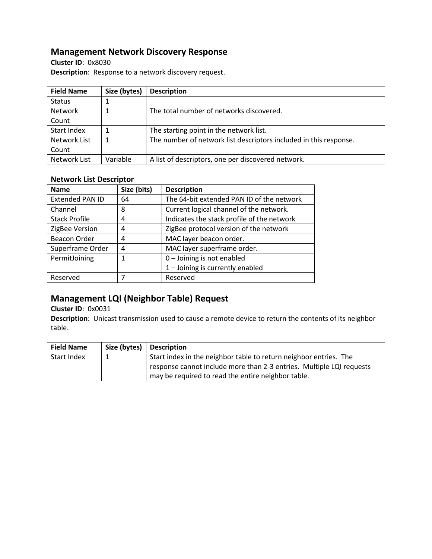## **Management Network Discovery Response**

**Cluster ID**: 0x8030 **Description**: Response to a network discovery request.

| <b>Field Name</b> | Size (bytes) | <b>Description</b>                                                |
|-------------------|--------------|-------------------------------------------------------------------|
| <b>Status</b>     |              |                                                                   |
| Network           |              | The total number of networks discovered.                          |
| Count             |              |                                                                   |
| Start Index       |              | The starting point in the network list.                           |
| Network List      |              | The number of network list descriptors included in this response. |
| Count             |              |                                                                   |
| Network List      | Variable     | A list of descriptors, one per discovered network.                |

### **Network List Descriptor**

| <b>Name</b>            | Size (bits) | <b>Description</b>                         |
|------------------------|-------------|--------------------------------------------|
| <b>Extended PAN ID</b> | 64          | The 64-bit extended PAN ID of the network  |
| Channel                | 8           | Current logical channel of the network.    |
| <b>Stack Profile</b>   | 4           | Indicates the stack profile of the network |
| ZigBee Version         | 4           | ZigBee protocol version of the network     |
| Beacon Order           | 4           | MAC layer beacon order.                    |
| Superframe Order       | 4           | MAC layer superframe order.                |
| PermitJoining          | 1           | $0$ – Joining is not enabled               |
|                        |             | 1 - Joining is currently enabled           |
| Reserved               |             | Reserved                                   |

## **Management LQI (Neighbor Table) Request**

**Cluster ID**: 0x0031

**Description**: Unicast transmission used to cause a remote device to return the contents of its neighbor table.

| <b>Field Name</b> | Size (bytes) $\vert$ | <b>Description</b>                                                   |
|-------------------|----------------------|----------------------------------------------------------------------|
| Start Index       |                      | Start index in the neighbor table to return neighbor entries. The    |
|                   |                      | response cannot include more than 2-3 entries. Multiple LQI requests |
|                   |                      | may be required to read the entire neighbor table.                   |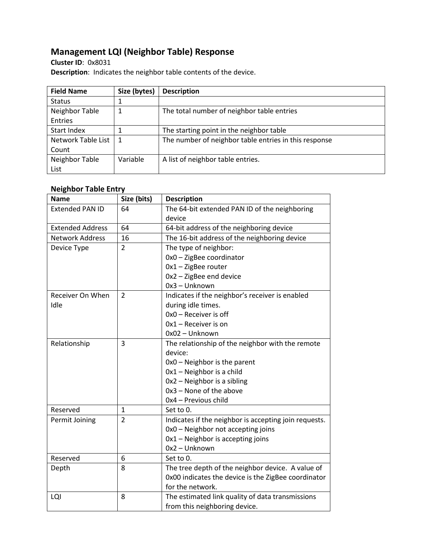## **Management LQI (Neighbor Table) Response**

**Cluster ID**: 0x8031 **Description**: Indicates the neighbor table contents of the device.

| <b>Field Name</b>  | Size (bytes) | <b>Description</b>                                    |
|--------------------|--------------|-------------------------------------------------------|
| <b>Status</b>      |              |                                                       |
| Neighbor Table     | 1            | The total number of neighbor table entries            |
| Entries            |              |                                                       |
| Start Index        |              | The starting point in the neighbor table              |
| Network Table List | 1            | The number of neighbor table entries in this response |
| Count              |              |                                                       |
| Neighbor Table     | Variable     | A list of neighbor table entries.                     |
| List               |              |                                                       |

### **Neighbor Table Entry**

| <b>Name</b>             | Size (bits)    | <b>Description</b>                                    |
|-------------------------|----------------|-------------------------------------------------------|
| <b>Extended PAN ID</b>  | 64             | The 64-bit extended PAN ID of the neighboring         |
|                         |                | device                                                |
| <b>Extended Address</b> | 64             | 64-bit address of the neighboring device              |
| <b>Network Address</b>  | 16             | The 16-bit address of the neighboring device          |
| Device Type             | $\overline{2}$ | The type of neighbor:                                 |
|                         |                | 0x0 - ZigBee coordinator                              |
|                         |                | $0x1 - ZigBee$ router                                 |
|                         |                | 0x2 - ZigBee end device                               |
|                         |                | 0x3 - Unknown                                         |
| Receiver On When        | $\overline{2}$ | Indicates if the neighbor's receiver is enabled       |
| Idle                    |                | during idle times.                                    |
|                         |                | 0x0 - Receiver is off                                 |
|                         |                | $0x1$ – Receiver is on                                |
|                         |                | 0x02 - Unknown                                        |
| Relationship            | 3              | The relationship of the neighbor with the remote      |
|                         |                | device:                                               |
|                         |                | 0x0 - Neighbor is the parent                          |
|                         |                | 0x1 - Neighbor is a child                             |
|                         |                | 0x2 - Neighbor is a sibling                           |
|                         |                | 0x3 - None of the above                               |
|                         |                | 0x4 - Previous child                                  |
| Reserved                | 1              | Set to 0.                                             |
| Permit Joining          | $\overline{2}$ | Indicates if the neighbor is accepting join requests. |
|                         |                | 0x0 - Neighbor not accepting joins                    |
|                         |                | 0x1 - Neighbor is accepting joins                     |
|                         |                | 0x2 - Unknown                                         |
| Reserved                | 6              | Set to 0.                                             |
| Depth                   | 8              | The tree depth of the neighbor device. A value of     |
|                         |                | 0x00 indicates the device is the ZigBee coordinator   |
|                         |                | for the network.                                      |
| LQI                     | 8              | The estimated link quality of data transmissions      |
|                         |                | from this neighboring device.                         |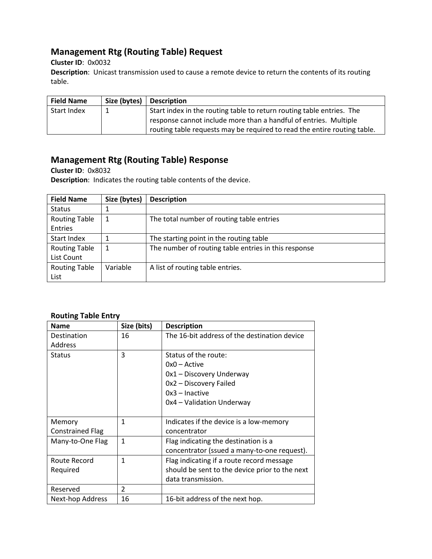## **Management Rtg (Routing Table) Request**

**Cluster ID**: 0x0032

**Description**: Unicast transmission used to cause a remote device to return the contents of its routing table.

| <b>Field Name</b> | Size (bytes) | <b>Description</b>                                                       |
|-------------------|--------------|--------------------------------------------------------------------------|
| Start Index       |              | Start index in the routing table to return routing table entries. The    |
|                   |              | response cannot include more than a handful of entries. Multiple         |
|                   |              | routing table requests may be required to read the entire routing table. |

## **Management Rtg (Routing Table) Response**

**Cluster ID**: 0x8032

**Description**: Indicates the routing table contents of the device.

| <b>Field Name</b>               | Size (bytes) | <b>Description</b>                                   |
|---------------------------------|--------------|------------------------------------------------------|
| <b>Status</b>                   |              |                                                      |
| <b>Routing Table</b><br>Entries |              | The total number of routing table entries            |
| Start Index                     |              | The starting point in the routing table              |
| <b>Routing Table</b>            |              | The number of routing table entries in this response |
| List Count                      |              |                                                      |
| <b>Routing Table</b><br>List    | Variable     | A list of routing table entries.                     |

### **Routing Table Entry**

| <b>Name</b>             | Size (bits)    | <b>Description</b>                             |
|-------------------------|----------------|------------------------------------------------|
| Destination             | 16             | The 16-bit address of the destination device   |
| Address                 |                |                                                |
| <b>Status</b>           | 3              | Status of the route:                           |
|                         |                | $0x0 -$ Active                                 |
|                         |                | 0x1 - Discovery Underway                       |
|                         |                | 0x2 - Discovery Failed                         |
|                         |                | $0x3$ – Inactive                               |
|                         |                | 0x4 - Validation Underway                      |
|                         |                |                                                |
| Memory                  | 1              | Indicates if the device is a low-memory        |
| <b>Constrained Flag</b> |                | concentrator                                   |
| Many-to-One Flag        | $\mathbf{1}$   | Flag indicating the destination is a           |
|                         |                | concentrator (ssued a many-to-one request).    |
| Route Record            | 1              | Flag indicating if a route record message      |
| Required                |                | should be sent to the device prior to the next |
|                         |                | data transmission.                             |
| Reserved                | $\mathfrak{p}$ |                                                |
| Next-hop Address        | 16             | 16-bit address of the next hop.                |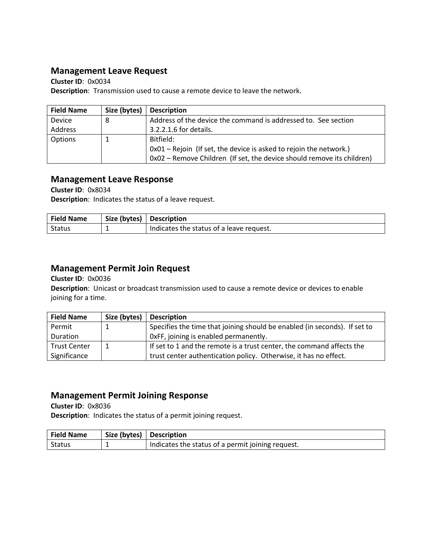### **Management Leave Request**

**Cluster ID**: 0x0034 **Description**: Transmission used to cause a remote device to leave the network.

| <b>Field Name</b> | Size (bytes) | <b>Description</b>                                                     |
|-------------------|--------------|------------------------------------------------------------------------|
| Device            | -8           | Address of the device the command is addressed to. See section         |
| Address           |              | 3.2.2.1.6 for details.                                                 |
| Options           |              | Bitfield:                                                              |
|                   |              | $0x01$ – Rejoin (If set, the device is asked to rejoin the network.)   |
|                   |              | 0x02 - Remove Children (If set, the device should remove its children) |

### **Management Leave Response**

**Cluster ID**: 0x8034

**Description**: Indicates the status of a leave request.

| <b>Field Name</b> | Size (bytes) | <b>Description</b>                       |
|-------------------|--------------|------------------------------------------|
| Status            |              | Indicates the status of a leave request. |

### **Management Permit Join Request**

**Cluster ID**: 0x0036

**Description**: Unicast or broadcast transmission used to cause a remote device or devices to enable joining for a time.

| <b>Field Name</b>   | Size (bytes) | <b>Description</b>                                                        |
|---------------------|--------------|---------------------------------------------------------------------------|
| Permit              |              | Specifies the time that joining should be enabled (in seconds). If set to |
| <b>Duration</b>     |              | OxFF, joining is enabled permanently.                                     |
| <b>Trust Center</b> |              | If set to 1 and the remote is a trust center, the command affects the     |
| Significance        |              | trust center authentication policy. Otherwise, it has no effect.          |

### **Management Permit Joining Response**

**Cluster ID**: 0x8036 **Description**: Indicates the status of a permit joining request.

| <b>Field Name</b> | Size (bytes)   Description |                                                   |
|-------------------|----------------------------|---------------------------------------------------|
| Status            |                            | Indicates the status of a permit joining request. |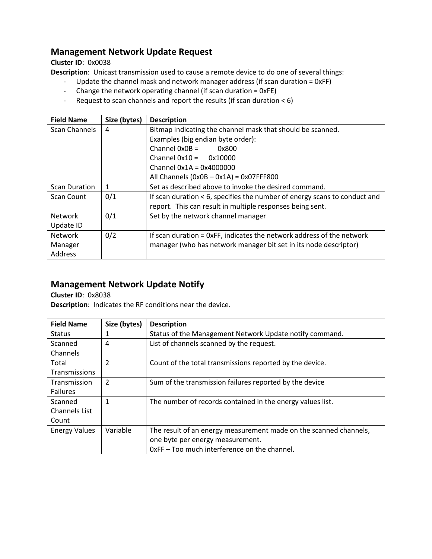## **Management Network Update Request**

**Cluster ID**: 0x0038

**Description**: Unicast transmission used to cause a remote device to do one of several things:

- Update the channel mask and network manager address (if scan duration = 0xFF)
- Change the network operating channel (if scan duration = 0xFE)
- Request to scan channels and report the results (if scan duration < 6)

| <b>Field Name</b>    | Size (bytes) | <b>Description</b>                                                          |
|----------------------|--------------|-----------------------------------------------------------------------------|
| Scan Channels        | 4            | Bitmap indicating the channel mask that should be scanned.                  |
|                      |              | Examples (big endian byte order):                                           |
|                      |              | Channel $0x0B =$<br>0x800                                                   |
|                      |              | Channel $0x10 =$<br>0x10000                                                 |
|                      |              | Channel $0x1A = 0x4000000$                                                  |
|                      |              | All Channels $(0x0B - 0x1A) = 0x07FFF800$                                   |
| <b>Scan Duration</b> | 1            | Set as described above to invoke the desired command.                       |
| Scan Count           | 0/1          | If scan duration $<$ 6, specifies the number of energy scans to conduct and |
|                      |              | report. This can result in multiple responses being sent.                   |
| <b>Network</b>       | 0/1          | Set by the network channel manager                                          |
| Update ID            |              |                                                                             |
| Network              | 0/2          | If scan duration = 0xFF, indicates the network address of the network       |
| Manager              |              | manager (who has network manager bit set in its node descriptor)            |
| Address              |              |                                                                             |

## **Management Network Update Notify**

**Cluster ID**: 0x8038

**Description**: Indicates the RF conditions near the device.

| <b>Field Name</b>    | Size (bytes) | <b>Description</b>                                                |
|----------------------|--------------|-------------------------------------------------------------------|
| <b>Status</b>        |              | Status of the Management Network Update notify command.           |
| Scanned              | 4            | List of channels scanned by the request.                          |
| Channels             |              |                                                                   |
| Total                | 2            | Count of the total transmissions reported by the device.          |
| Transmissions        |              |                                                                   |
| Transmission         | 2            | Sum of the transmission failures reported by the device           |
| Failures             |              |                                                                   |
| Scanned              | 1            | The number of records contained in the energy values list.        |
| <b>Channels List</b> |              |                                                                   |
| Count                |              |                                                                   |
| <b>Energy Values</b> | Variable     | The result of an energy measurement made on the scanned channels, |
|                      |              | one byte per energy measurement.                                  |
|                      |              | OxFF - Too much interference on the channel.                      |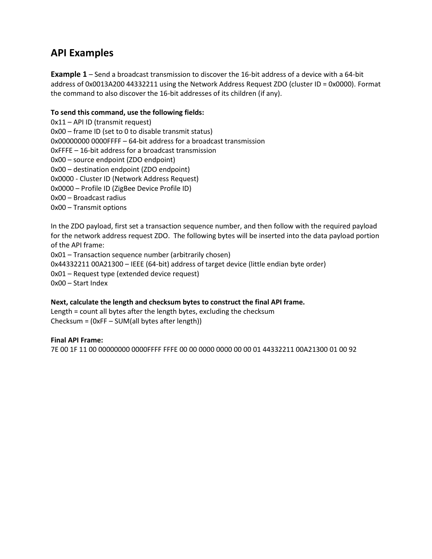## **API Examples**

**Example 1** – Send a broadcast transmission to discover the 16-bit address of a device with a 64-bit address of 0x0013A200 44332211 using the Network Address Request ZDO (cluster ID = 0x0000). Format the command to also discover the 16-bit addresses of its children (if any).

### **To send this command, use the following fields:**

0x11 – API ID (transmit request) 0x00 – frame ID (set to 0 to disable transmit status) 0x00000000 0000FFFF – 64-bit address for a broadcast transmission 0xFFFE – 16-bit address for a broadcast transmission 0x00 – source endpoint (ZDO endpoint) 0x00 – destination endpoint (ZDO endpoint) 0x0000 - Cluster ID (Network Address Request) 0x0000 – Profile ID (ZigBee Device Profile ID) 0x00 – Broadcast radius 0x00 – Transmit options

In the ZDO payload, first set a transaction sequence number, and then follow with the required payload for the network address request ZDO. The following bytes will be inserted into the data payload portion of the API frame:

0x01 – Transaction sequence number (arbitrarily chosen) 0x44332211 00A21300 – IEEE (64-bit) address of target device (little endian byte order) 0x01 – Request type (extended device request) 0x00 – Start Index

### **Next, calculate the length and checksum bytes to construct the final API frame.**

Length = count all bytes after the length bytes, excluding the checksum Checksum = (0xFF – SUM(all bytes after length))

### **Final API Frame:**

7E 00 1F 11 00 00000000 0000FFFF FFFE 00 00 0000 0000 00 00 01 44332211 00A21300 01 00 92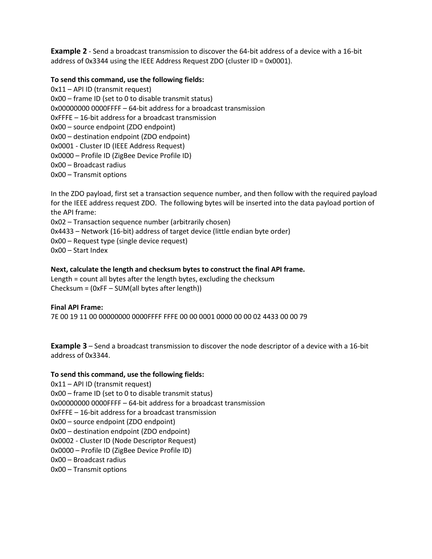**Example 2** - Send a broadcast transmission to discover the 64-bit address of a device with a 16-bit address of 0x3344 using the IEEE Address Request ZDO (cluster ID = 0x0001).

### **To send this command, use the following fields:**

0x11 – API ID (transmit request) 0x00 – frame ID (set to 0 to disable transmit status) 0x00000000 0000FFFF – 64-bit address for a broadcast transmission 0xFFFE – 16-bit address for a broadcast transmission 0x00 – source endpoint (ZDO endpoint) 0x00 – destination endpoint (ZDO endpoint) 0x0001 - Cluster ID (IEEE Address Request) 0x0000 – Profile ID (ZigBee Device Profile ID) 0x00 – Broadcast radius 0x00 – Transmit options

In the ZDO payload, first set a transaction sequence number, and then follow with the required payload for the IEEE address request ZDO. The following bytes will be inserted into the data payload portion of the API frame: 0x02 – Transaction sequence number (arbitrarily chosen)

0x4433 – Network (16-bit) address of target device (little endian byte order)

0x00 – Request type (single device request)

0x00 – Start Index

### **Next, calculate the length and checksum bytes to construct the final API frame.**

Length = count all bytes after the length bytes, excluding the checksum Checksum = (0xFF – SUM(all bytes after length))

### **Final API Frame:**

7E 00 19 11 00 00000000 0000FFFF FFFE 00 00 0001 0000 00 00 02 4433 00 00 79

**Example 3** – Send a broadcast transmission to discover the node descriptor of a device with a 16-bit address of 0x3344.

### **To send this command, use the following fields:**

0x11 – API ID (transmit request) 0x00 – frame ID (set to 0 to disable transmit status) 0x00000000 0000FFFF – 64-bit address for a broadcast transmission 0xFFFE – 16-bit address for a broadcast transmission 0x00 – source endpoint (ZDO endpoint) 0x00 – destination endpoint (ZDO endpoint) 0x0002 - Cluster ID (Node Descriptor Request) 0x0000 – Profile ID (ZigBee Device Profile ID) 0x00 – Broadcast radius 0x00 – Transmit options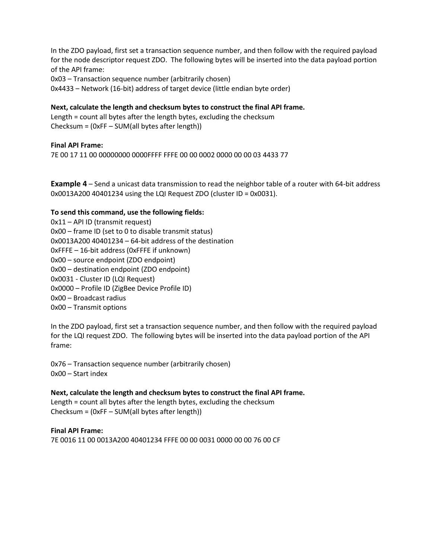In the ZDO payload, first set a transaction sequence number, and then follow with the required payload for the node descriptor request ZDO. The following bytes will be inserted into the data payload portion of the API frame:

0x03 – Transaction sequence number (arbitrarily chosen)

0x4433 – Network (16-bit) address of target device (little endian byte order)

**Next, calculate the length and checksum bytes to construct the final API frame.**

Length = count all bytes after the length bytes, excluding the checksum Checksum = (0xFF – SUM(all bytes after length))

### **Final API Frame:**

7E 00 17 11 00 00000000 0000FFFF FFFE 00 00 0002 0000 00 00 03 4433 77

**Example 4** – Send a unicast data transmission to read the neighbor table of a router with 64-bit address 0x0013A200 40401234 using the LQI Request ZDO (cluster ID = 0x0031).

#### **To send this command, use the following fields:**

0x11 – API ID (transmit request) 0x00 – frame ID (set to 0 to disable transmit status) 0x0013A200 40401234 – 64-bit address of the destination 0xFFFE – 16-bit address (0xFFFE if unknown) 0x00 – source endpoint (ZDO endpoint) 0x00 – destination endpoint (ZDO endpoint) 0x0031 - Cluster ID (LQI Request) 0x0000 – Profile ID (ZigBee Device Profile ID) 0x00 – Broadcast radius 0x00 – Transmit options

In the ZDO payload, first set a transaction sequence number, and then follow with the required payload for the LQI request ZDO. The following bytes will be inserted into the data payload portion of the API frame:

0x76 – Transaction sequence number (arbitrarily chosen) 0x00 – Start index

**Next, calculate the length and checksum bytes to construct the final API frame.** Length = count all bytes after the length bytes, excluding the checksum Checksum = (0xFF – SUM(all bytes after length))

**Final API Frame:** 7E 0016 11 00 0013A200 40401234 FFFE 00 00 0031 0000 00 00 76 00 CF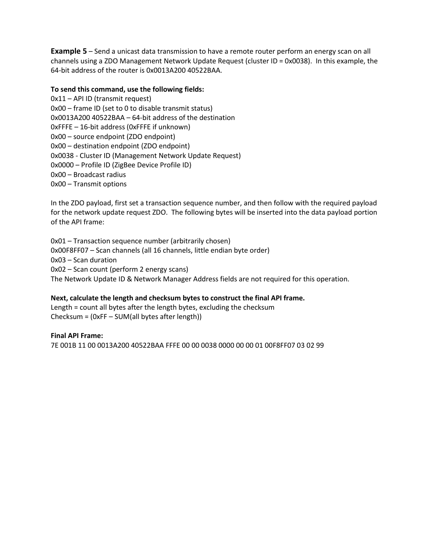**Example 5** – Send a unicast data transmission to have a remote router perform an energy scan on all channels using a ZDO Management Network Update Request (cluster ID = 0x0038). In this example, the 64-bit address of the router is 0x0013A200 40522BAA.

#### **To send this command, use the following fields:**

0x11 – API ID (transmit request) 0x00 – frame ID (set to 0 to disable transmit status) 0x0013A200 40522BAA – 64-bit address of the destination 0xFFFE – 16-bit address (0xFFFE if unknown) 0x00 – source endpoint (ZDO endpoint) 0x00 – destination endpoint (ZDO endpoint) 0x0038 - Cluster ID (Management Network Update Request) 0x0000 – Profile ID (ZigBee Device Profile ID) 0x00 – Broadcast radius 0x00 – Transmit options

In the ZDO payload, first set a transaction sequence number, and then follow with the required payload for the network update request ZDO. The following bytes will be inserted into the data payload portion of the API frame:

0x01 – Transaction sequence number (arbitrarily chosen) 0x00F8FF07 – Scan channels (all 16 channels, little endian byte order) 0x03 – Scan duration 0x02 – Scan count (perform 2 energy scans) The Network Update ID & Network Manager Address fields are not required for this operation.

## **Next, calculate the length and checksum bytes to construct the final API frame.**

Length = count all bytes after the length bytes, excluding the checksum Checksum = (0xFF – SUM(all bytes after length))

#### **Final API Frame:**

7E 001B 11 00 0013A200 40522BAA FFFE 00 00 0038 0000 00 00 01 00F8FF07 03 02 99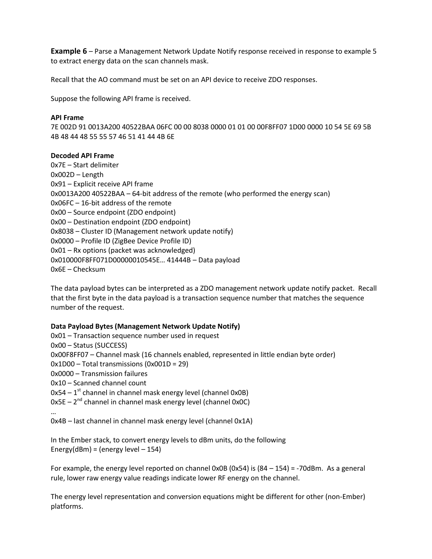**Example 6** – Parse a Management Network Update Notify response received in response to example 5 to extract energy data on the scan channels mask.

Recall that the AO command must be set on an API device to receive ZDO responses.

Suppose the following API frame is received.

#### **API Frame**

7E 002D 91 0013A200 40522BAA 06FC 00 00 8038 0000 01 01 00 00F8FF07 1D00 0000 10 54 5E 69 5B 4B 48 44 48 55 55 57 46 51 41 44 4B 6E

#### **Decoded API Frame**

0x7E – Start delimiter 0x002D – Length 0x91 – Explicit receive API frame 0x0013A200 40522BAA – 64-bit address of the remote (who performed the energy scan) 0x06FC – 16-bit address of the remote 0x00 – Source endpoint (ZDO endpoint) 0x00 – Destination endpoint (ZDO endpoint) 0x8038 – Cluster ID (Management network update notify) 0x0000 – Profile ID (ZigBee Device Profile ID) 0x01 – Rx options (packet was acknowledged) 0x010000F8FF071D00000010545E… 41444B – Data payload 0x6E – Checksum

The data payload bytes can be interpreted as a ZDO management network update notify packet. Recall that the first byte in the data payload is a transaction sequence number that matches the sequence number of the request.

### **Data Payload Bytes (Management Network Update Notify)**

0x01 – Transaction sequence number used in request 0x00 – Status (SUCCESS) 0x00F8FF07 – Channel mask (16 channels enabled, represented in little endian byte order) 0x1D00 – Total transmissions (0x001D = 29) 0x0000 – Transmission failures 0x10 – Scanned channel count 0x54 – 1<sup>st</sup> channel in channel mask energy level (channel 0x0B) 0x5E – 2<sup>nd</sup> channel in channel mask energy level (channel 0x0C) …

0x4B – last channel in channel mask energy level (channel 0x1A)

In the Ember stack, to convert energy levels to dBm units, do the following Energy(dBm) = (energy level  $-154$ )

For example, the energy level reported on channel 0x0B (0x54) is  $(84 - 154) = -70$ dBm. As a general rule, lower raw energy value readings indicate lower RF energy on the channel.

The energy level representation and conversion equations might be different for other (non-Ember) platforms.